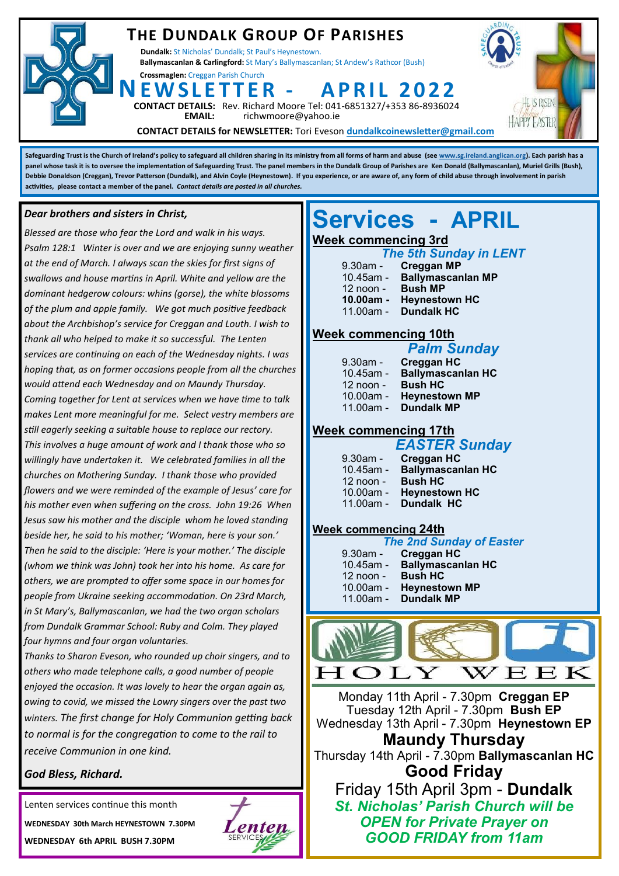### **THE DUNDALK GROUP OF PARISHES**

**Dundalk:** St Nicholas' Dundalk; St Paul's Heynestown. **Ballymascanlan & Carlingford:** St Mary's Ballymascanlan; St Andew's Rathcor (Bush)

**Crossmaglen:** Creggan Parish Church

**DETAILS:** Rev. Richard Moore Tel: 041-6851327/+353 86-8936024<br>**EMAIL:** richwmoore@yahoo.ie **EMAIL:** richwmoore@yahoo.ie **NE W S L E T T E R - A P R I L 2 0 2 2**



**CONTACT DETAILS for NEWSLETTER:** Tori Eveson **dundalkcoinewsletter@gmail.com**

**Safeguarding Trust is the Church of Ireland's policy to safeguard all children sharing in its ministry from all forms of harm and abuse (see [www.sg.ireland.anglican.org\)](http://www.sg.ireland.anglican.org). Each parish has a panel whose task it is to oversee the implementation of Safeguarding Trust. The panel members in the Dundalk Group of Parishes are Ken Donald (Ballymascanlan), Muriel Grills (Bush), Debbie Donaldson (Creggan), Trevor Patterson (Dundalk), and Alvin Coyle (Heynestown). If you experience, or are aware of, any form of child abuse through involvement in parish activities, please contact a member of the panel.** *Contact details are posted in all churches.* 

#### *Dear brothers and sisters in Christ,*

*Blessed are those who fear the Lord and walk in his ways. Psalm 128:1 Winter is over and we are enjoying sunny weather at the end of March. I always scan the skies for first signs of swallows and house martins in April. White and yellow are the dominant hedgerow colours: whins (gorse), the white blossoms of the plum and apple family. We got much positive feedback about the Archbishop's service for Creggan and Louth. I wish to thank all who helped to make it so successful. The Lenten services are continuing on each of the Wednesday nights. I was hoping that, as on former occasions people from all the churches would attend each Wednesday and on Maundy Thursday. Coming together for Lent at services when we have time to talk makes Lent more meaningful for me. Select vestry members are still eagerly seeking a suitable house to replace our rectory. This involves a huge amount of work and I thank those who so willingly have undertaken it. We celebrated families in all the churches on Mothering Sunday. I thank those who provided flowers and we were reminded of the example of Jesus' care for his mother even when suffering on the cross. John 19:26 When Jesus saw his mother and the disciple whom he loved standing beside her, he said to his mother; 'Woman, here is your son.' Then he said to the disciple: 'Here is your mother.' The disciple (whom we think was John) took her into his home. As care for others, we are prompted to offer some space in our homes for people from Ukraine seeking accommodation. On 23rd March, in St Mary's, Ballymascanlan, we had the two organ scholars from Dundalk Grammar School: Ruby and Colm. They played four hymns and four organ voluntaries.* 

*Thanks to Sharon Eveson, who rounded up choir singers, and to others who made telephone calls, a good number of people enjoyed the occasion. It was lovely to hear the organ again as, owing to covid, we missed the Lowry singers over the past two winters. The first change for Holy Communion getting back to normal is for the congregation to come to the rail to receive Communion in one kind.* 

#### *God Bless, Richard.*

Lenten services continue this month **WEDNESDAY 30th March HEYNESTOWN 7.30PM WEDNESDAY 6th APRIL BUSH 7.30PM** 



## **Services - APRIL**

#### **Week commencing 3rd**

#### *The 5th Sunday in LENT*

| $9.30$ am -  | <b>Creggan MP</b>        |
|--------------|--------------------------|
| $10.45$ am - | <b>Ballymascanlan MP</b> |
| 12 noon -    | <b>Bush MP</b>           |
| $10.00am -$  | <b>Heynestown HC</b>     |
| $11.00am -$  | <b>Dundalk HC</b>        |

#### **Week commencing 10th**

|              | <b>Palm Sunday</b>       |
|--------------|--------------------------|
| $9.30$ am -  | Creggan HC               |
| $10.45$ am - | <b>Ballymascanlan HC</b> |
| 12 noon -    | <b>Bush HC</b>           |

- 10.00am **Heynestown MP**
- 11.00am **Dundalk MP**

#### **Week commencing 17th**

| <b>EASTER Sunday</b> |                             |  |
|----------------------|-----------------------------|--|
| $9.30$ am -          | <b>Creggan HC</b>           |  |
|                      | 10.45am - Ballymascanlan HC |  |
| $12$ noon -          | <b>Bush HC</b>              |  |
| 10.00am -            | <b>Heynestown HC</b>        |  |
|                      | 11.00am - Dundalk HC        |  |

#### **Week commencing 24th**

| <b>The 2nd Sunday of Easter</b> |                             |  |
|---------------------------------|-----------------------------|--|
|                                 | 9.30am - Creggan HC         |  |
|                                 | 10.45am - Ballymascanlan HC |  |
| 12 noon - Bush HC               |                             |  |
|                                 | 10.00am - Heynestown MP     |  |
|                                 | 11.00am - Dundalk MP        |  |



Monday 11th April - 7.30pm **Creggan EP** Tuesday 12th April - 7.30pm **Bush EP** Wednesday 13th April - 7.30pm **Heynestown EP**

**Maundy Thursday** Thursday 14th April - 7.30pm **Ballymascanlan HC Good Friday**

Friday 15th April 3pm - **Dundalk** *St. Nicholas' Parish Church will be OPEN for Private Prayer on GOOD FRIDAY from 11am*